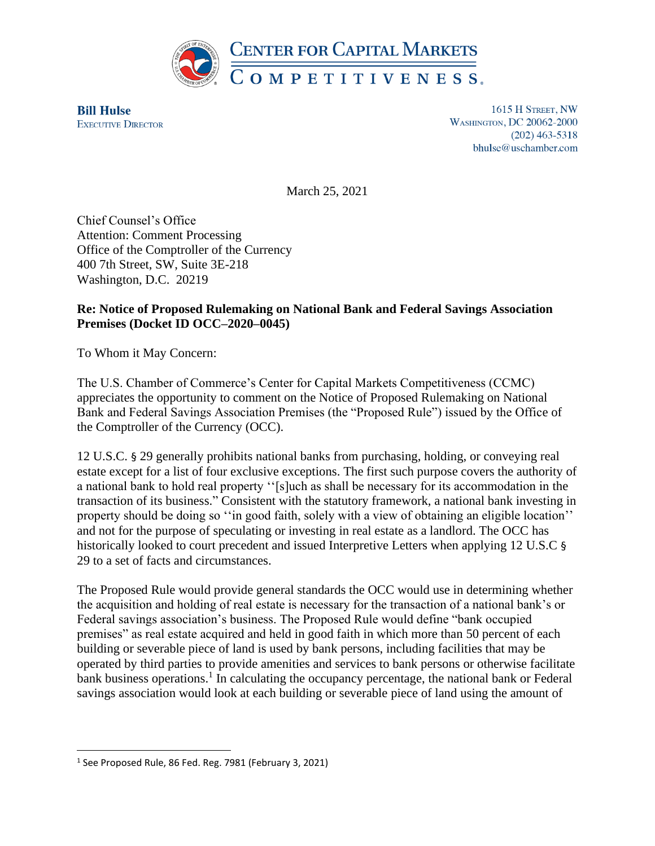

**Bill Hulse EXECUTIVE DIRECTOR** 

1615 H STREET, NW **WASHINGTON, DC 20062-2000**  $(202)$  463-5318 bhulse@uschamber.com

March 25, 2021

Chief Counsel's Office Attention: Comment Processing Office of the Comptroller of the Currency 400 7th Street, SW, Suite 3E-218 Washington, D.C. 20219

### **Re: Notice of Proposed Rulemaking on National Bank and Federal Savings Association Premises (Docket ID OCC–2020–0045)**

To Whom it May Concern:

The U.S. Chamber of Commerce's Center for Capital Markets Competitiveness (CCMC) appreciates the opportunity to comment on the Notice of Proposed Rulemaking on National Bank and Federal Savings Association Premises (the "Proposed Rule") issued by the Office of the Comptroller of the Currency (OCC).

12 U.S.C. § 29 generally prohibits national banks from purchasing, holding, or conveying real estate except for a list of four exclusive exceptions. The first such purpose covers the authority of a national bank to hold real property ''[s]uch as shall be necessary for its accommodation in the transaction of its business." Consistent with the statutory framework, a national bank investing in property should be doing so "in good faith, solely with a view of obtaining an eligible location" and not for the purpose of speculating or investing in real estate as a landlord. The OCC has historically looked to court precedent and issued Interpretive Letters when applying 12 U.S.C § 29 to a set of facts and circumstances.

The Proposed Rule would provide general standards the OCC would use in determining whether the acquisition and holding of real estate is necessary for the transaction of a national bank's or Federal savings association's business. The Proposed Rule would define "bank occupied premises" as real estate acquired and held in good faith in which more than 50 percent of each building or severable piece of land is used by bank persons, including facilities that may be operated by third parties to provide amenities and services to bank persons or otherwise facilitate bank business operations.<sup>1</sup> In calculating the occupancy percentage, the national bank or Federal savings association would look at each building or severable piece of land using the amount of

<sup>&</sup>lt;sup>1</sup> See Proposed Rule, 86 Fed. Reg. 7981 (February 3, 2021)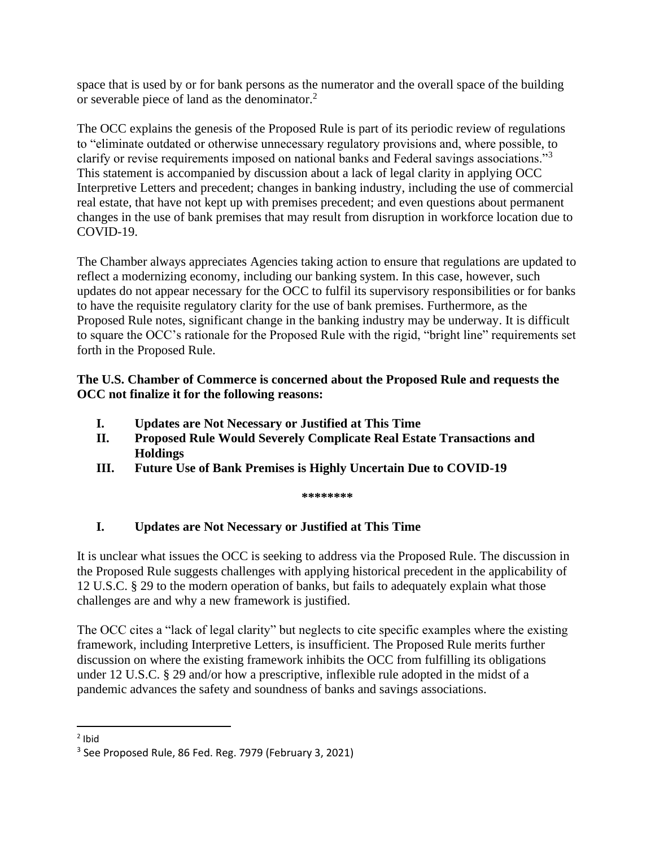space that is used by or for bank persons as the numerator and the overall space of the building or severable piece of land as the denominator.<sup>2</sup>

The OCC explains the genesis of the Proposed Rule is part of its periodic review of regulations to "eliminate outdated or otherwise unnecessary regulatory provisions and, where possible, to clarify or revise requirements imposed on national banks and Federal savings associations."<sup>3</sup> This statement is accompanied by discussion about a lack of legal clarity in applying OCC Interpretive Letters and precedent; changes in banking industry, including the use of commercial real estate, that have not kept up with premises precedent; and even questions about permanent changes in the use of bank premises that may result from disruption in workforce location due to COVID-19.

The Chamber always appreciates Agencies taking action to ensure that regulations are updated to reflect a modernizing economy, including our banking system. In this case, however, such updates do not appear necessary for the OCC to fulfil its supervisory responsibilities or for banks to have the requisite regulatory clarity for the use of bank premises. Furthermore, as the Proposed Rule notes, significant change in the banking industry may be underway. It is difficult to square the OCC's rationale for the Proposed Rule with the rigid, "bright line" requirements set forth in the Proposed Rule.

### **The U.S. Chamber of Commerce is concerned about the Proposed Rule and requests the OCC not finalize it for the following reasons:**

- **I. Updates are Not Necessary or Justified at This Time**
- **II. Proposed Rule Would Severely Complicate Real Estate Transactions and Holdings**
- **III. Future Use of Bank Premises is Highly Uncertain Due to COVID-19**

**\*\*\*\*\*\*\*\***

# **I. Updates are Not Necessary or Justified at This Time**

It is unclear what issues the OCC is seeking to address via the Proposed Rule. The discussion in the Proposed Rule suggests challenges with applying historical precedent in the applicability of 12 U.S.C. § 29 to the modern operation of banks, but fails to adequately explain what those challenges are and why a new framework is justified.

The OCC cites a "lack of legal clarity" but neglects to cite specific examples where the existing framework, including Interpretive Letters, is insufficient. The Proposed Rule merits further discussion on where the existing framework inhibits the OCC from fulfilling its obligations under 12 U.S.C. § 29 and/or how a prescriptive, inflexible rule adopted in the midst of a pandemic advances the safety and soundness of banks and savings associations.

<sup>&</sup>lt;sup>2</sup> Ibid

<sup>3</sup> See Proposed Rule, 86 Fed. Reg. 7979 (February 3, 2021)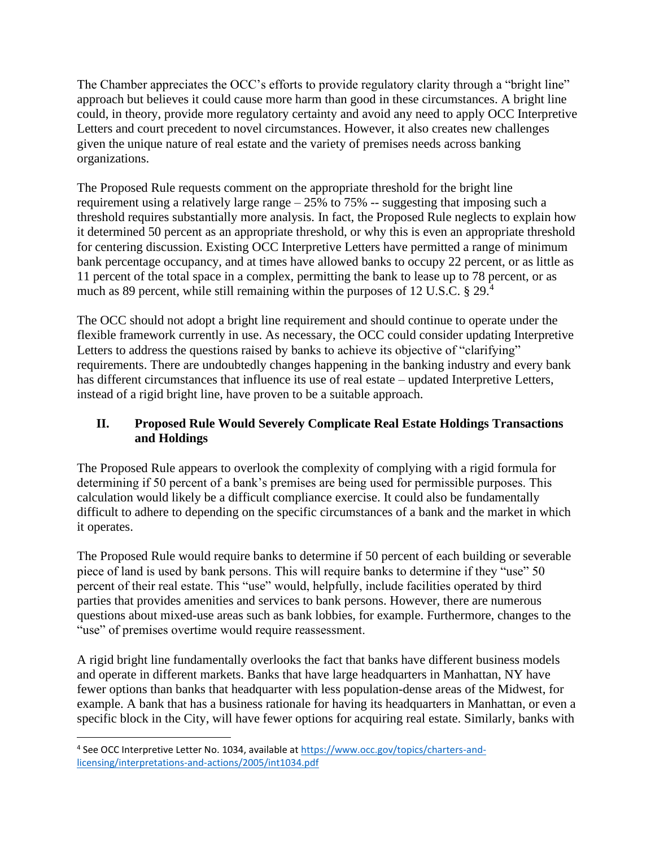The Chamber appreciates the OCC's efforts to provide regulatory clarity through a "bright line" approach but believes it could cause more harm than good in these circumstances. A bright line could, in theory, provide more regulatory certainty and avoid any need to apply OCC Interpretive Letters and court precedent to novel circumstances. However, it also creates new challenges given the unique nature of real estate and the variety of premises needs across banking organizations.

The Proposed Rule requests comment on the appropriate threshold for the bright line requirement using a relatively large range – 25% to 75% -- suggesting that imposing such a threshold requires substantially more analysis. In fact, the Proposed Rule neglects to explain how it determined 50 percent as an appropriate threshold, or why this is even an appropriate threshold for centering discussion. Existing OCC Interpretive Letters have permitted a range of minimum bank percentage occupancy, and at times have allowed banks to occupy 22 percent, or as little as 11 percent of the total space in a complex, permitting the bank to lease up to 78 percent, or as much as 89 percent, while still remaining within the purposes of 12 U.S.C. § 29.<sup>4</sup>

The OCC should not adopt a bright line requirement and should continue to operate under the flexible framework currently in use. As necessary, the OCC could consider updating Interpretive Letters to address the questions raised by banks to achieve its objective of "clarifying" requirements. There are undoubtedly changes happening in the banking industry and every bank has different circumstances that influence its use of real estate – updated Interpretive Letters, instead of a rigid bright line, have proven to be a suitable approach.

# **II. Proposed Rule Would Severely Complicate Real Estate Holdings Transactions and Holdings**

The Proposed Rule appears to overlook the complexity of complying with a rigid formula for determining if 50 percent of a bank's premises are being used for permissible purposes. This calculation would likely be a difficult compliance exercise. It could also be fundamentally difficult to adhere to depending on the specific circumstances of a bank and the market in which it operates.

The Proposed Rule would require banks to determine if 50 percent of each building or severable piece of land is used by bank persons. This will require banks to determine if they "use" 50 percent of their real estate. This "use" would, helpfully, include facilities operated by third parties that provides amenities and services to bank persons. However, there are numerous questions about mixed-use areas such as bank lobbies, for example. Furthermore, changes to the "use" of premises overtime would require reassessment.

A rigid bright line fundamentally overlooks the fact that banks have different business models and operate in different markets. Banks that have large headquarters in Manhattan, NY have fewer options than banks that headquarter with less population-dense areas of the Midwest, for example. A bank that has a business rationale for having its headquarters in Manhattan, or even a specific block in the City, will have fewer options for acquiring real estate. Similarly, banks with

<sup>&</sup>lt;sup>4</sup> See OCC Interpretive Letter No. 1034, available a[t https://www.occ.gov/topics/charters-and](https://www.occ.gov/topics/charters-and-licensing/interpretations-and-actions/2005/int1034.pdf)[licensing/interpretations-and-actions/2005/int1034.pdf](https://www.occ.gov/topics/charters-and-licensing/interpretations-and-actions/2005/int1034.pdf)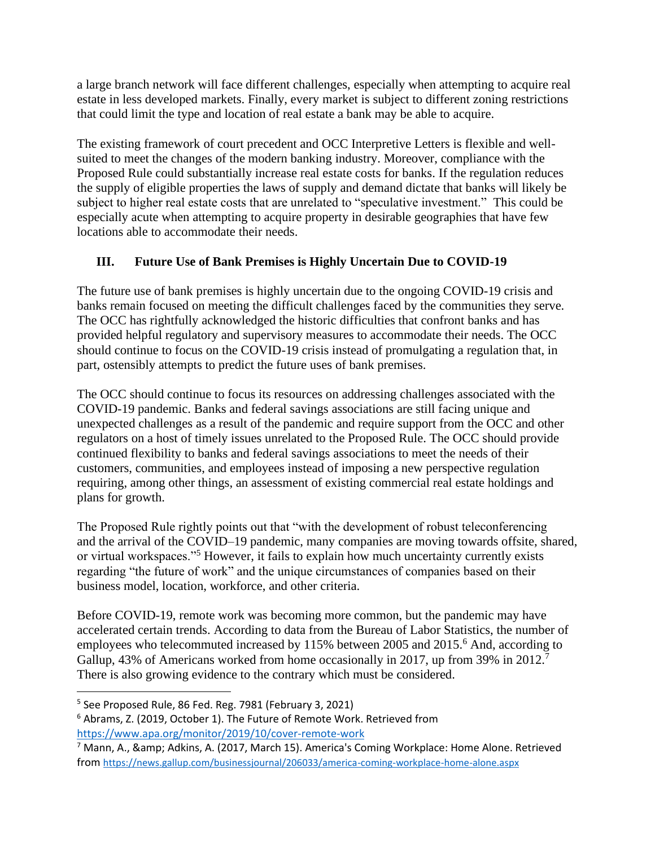a large branch network will face different challenges, especially when attempting to acquire real estate in less developed markets. Finally, every market is subject to different zoning restrictions that could limit the type and location of real estate a bank may be able to acquire.

The existing framework of court precedent and OCC Interpretive Letters is flexible and wellsuited to meet the changes of the modern banking industry. Moreover, compliance with the Proposed Rule could substantially increase real estate costs for banks. If the regulation reduces the supply of eligible properties the laws of supply and demand dictate that banks will likely be subject to higher real estate costs that are unrelated to "speculative investment." This could be especially acute when attempting to acquire property in desirable geographies that have few locations able to accommodate their needs.

# **III. Future Use of Bank Premises is Highly Uncertain Due to COVID-19**

The future use of bank premises is highly uncertain due to the ongoing COVID-19 crisis and banks remain focused on meeting the difficult challenges faced by the communities they serve. The OCC has rightfully acknowledged the historic difficulties that confront banks and has provided helpful regulatory and supervisory measures to accommodate their needs. The OCC should continue to focus on the COVID-19 crisis instead of promulgating a regulation that, in part, ostensibly attempts to predict the future uses of bank premises.

The OCC should continue to focus its resources on addressing challenges associated with the COVID-19 pandemic. Banks and federal savings associations are still facing unique and unexpected challenges as a result of the pandemic and require support from the OCC and other regulators on a host of timely issues unrelated to the Proposed Rule. The OCC should provide continued flexibility to banks and federal savings associations to meet the needs of their customers, communities, and employees instead of imposing a new perspective regulation requiring, among other things, an assessment of existing commercial real estate holdings and plans for growth.

The Proposed Rule rightly points out that "with the development of robust teleconferencing and the arrival of the COVID–19 pandemic, many companies are moving towards offsite, shared, or virtual workspaces."<sup>5</sup> However, it fails to explain how much uncertainty currently exists regarding "the future of work" and the unique circumstances of companies based on their business model, location, workforce, and other criteria.

Before COVID-19, remote work was becoming more common, but the pandemic may have accelerated certain trends. According to data from the Bureau of Labor Statistics, the number of employees who telecommuted increased by 115% between 2005 and 2015.<sup>6</sup> And, according to Gallup, 43% of Americans worked from home occasionally in 2017, up from 39% in 2012.<sup>7</sup> There is also growing evidence to the contrary which must be considered.

<sup>5</sup> See Proposed Rule, 86 Fed. Reg. 7981 (February 3, 2021)

<sup>6</sup> Abrams, Z. (2019, October 1). The Future of Remote Work. Retrieved from <https://www.apa.org/monitor/2019/10/cover-remote-work>

 $7$  Mann, A., & amp; Adkins, A. (2017, March 15). America's Coming Workplace: Home Alone. Retrieved from <https://news.gallup.com/businessjournal/206033/america-coming-workplace-home-alone.aspx>